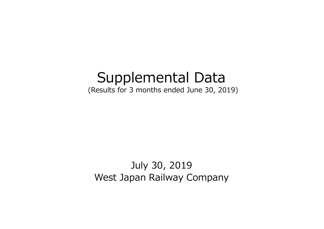# Supplemental Data

(Results for 3 months ended June 30, 2019)

July 30, 2019 West Japan Railway Company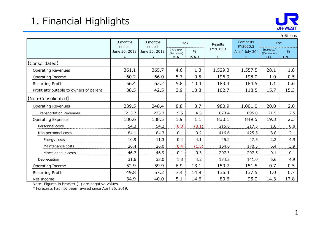## 1. Financial Highlights



|                                         | 1. Financial Highlights |                               |                         |                 |                     |                    |                     | <b>JR-WEST</b>   |  |
|-----------------------------------------|-------------------------|-------------------------------|-------------------------|-----------------|---------------------|--------------------|---------------------|------------------|--|
|                                         | 3 months                | 3 months                      | ¥ Billions<br>Forecasts |                 |                     |                    |                     |                  |  |
|                                         | ended                   | ended                         | YoY<br>Increase/        |                 | Results<br>FY2019.3 | FY2020.3           |                     | YoY<br>Increase/ |  |
|                                         | June 30, 2018           | June 30, 2019<br><sub>B</sub> | (Decrease)<br>$B-A$     | $\%$<br>$B/A-1$ |                     | As of July 30<br>D | (Decrease)<br>$D-C$ | %<br>$D/C-1$     |  |
| [Consolidated]                          |                         |                               |                         |                 |                     |                    |                     |                  |  |
| <b>Operating Revenues</b>               | 361.1                   | 365.7                         | 4.6                     | 1.3             | 1,529.3             | 1,557.5            | 28.1                | 1.8              |  |
| Operating Income                        | 60.2                    | 66.0                          | 5.7                     | 9.5             | 196.9               | 198.0              | 1.0                 | 0.5              |  |
| Recurring Profit                        | 56.4                    | 62.2                          | 5.8                     | 10.4            | 183.3               | 184.5              | 1.1                 | 0.6              |  |
| Profit attributable to owners of parent | 38.5                    | 42.5                          | 3.9                     | 10.3            | 102.7               | 118.5              | 15.7                | 15.3             |  |
| [Non-Consolidated]                      |                         |                               |                         |                 |                     |                    |                     |                  |  |
| <b>Operating Revenues</b>               | 239.5                   | 248.4                         | 8.8                     | 3.7             | 980.9               | 1,001.0            | 20.0                | 2.0              |  |
| <b>Transportation Revenues</b>          | 213.7                   | 223.3                         | 9.5                     | 4.5             | 873.4               | 895.0              | 21.5                | 2.5              |  |
| <b>Operating Expenses</b>               | 186.6                   | 188.5                         | 1.9                     | 1.1             | 830.1               | 849.5              | 19.3                | 2.3              |  |
| Personnel costs                         | 54.3                    | 54.2                          | (0.0)                   | (0.1)           | 215.8               | 217.5              | 1.6                 | 0.8              |  |
| Non personnel costs                     | 84.1                    | 84.3                          | 0.1                     | 0.2             | 416.6               | 425.5              | 8.8                 | 2.1              |  |
| Energy costs                            | 10.9                    | 11.3                          | 0.4                     | 4.1             | 45.2                | 47.5               | 2.2                 | 4.9              |  |
| Maintenance costs                       | 26.4                    | 26.0                          | (0.4)                   | (1.5)           | 164.0               | 170.5              | 6.4                 | 3.9              |  |
| Miscellaneous costs                     | 46.7                    | 46.9                          | 0.1                     | 0.3             | 207.3               | 207.5              | 0.1                 | 0.1              |  |
| Depreciation                            | 31.6                    | 33.0                          | 1.3                     | 4.2             | 134.3               | 141.0              | 6.6                 | 4.9              |  |
| Operating Income                        | 52.9                    | 59.9                          | 6.9                     | 13.1            | 150.7               | 151.5              | 0.7                 | 0.5              |  |
| Recurring Profit                        | 49.8                    | 57.2                          | 7.4                     | 14.9            | 136.4               | 137.5              | 1.0                 | 0.7              |  |
| Net Income                              | 34.9                    | 40.0                          | 5.1                     | 14.6            | 80.6                | 95.0               | 14.3                | 17.8             |  |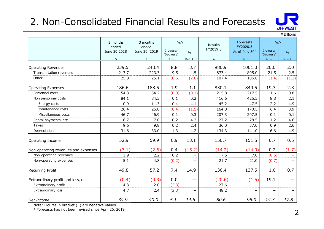## 2. Non-Consolidated Financial Results and Forecasts



Increase/ <sub>0%</sub> (Decrease) % (Decrease) % (Decrease) % (Decrease) % (Decrease) % (Decrease) % (Decrease) % (Decrease) % (Decrease) % (Decrease) % (Decrease) % (Decrease) % (Decrease) % (Decrease) % (Decrease)  $\frac{1}{2}$  % (Decrease) % (Dec Increase/ <sub>0%</sub> (Decrease) % A **BB-AB/A-1 CDDDDCD/C-1** Operating Revenues 239.5 248.4 8.8 3.7 980.9 1001.0 20.0 2.0 2. Non-Consolidated Financial Results and Forecasts<br>  $T_{\text{c}}$  and the state of the state of the state of the state of the state of the state of the state of the state of the state of the state of the state of the state o 2. Non-Consolidated Financial Results and Forecasts<br>  $\frac{3 \text{ months}}{\text{cm} \times 600}$ <br>  $\frac{3 \text{ months}}{\text{cm} \times 600}$ <br>  $\frac{3 \text{ months}}{\text{cm} \times 600}$ <br>  $\frac{3 \text{ months}}{\text{cm} \times 600}$ <br>  $\frac{3 \text{ months}}{\text{cm} \times 600}$ <br>  $\frac{3 \text{ months}}{\text{cm} \times 600}$ <br>  $\frac{3 \text{ months}}{\text{cm} \times$ 2. Non-Consolidated Financial Results and Forecasts<br>  $\frac{3 \text{ months}}{\text{with 80}}$ <br>  $\frac{3 \text{ months}}{\text{with 80}}$ <br>  $\frac{3 \text{ months}}{\text{with 80}}$ <br>  $\frac{3 \text{ months}}{\text{with 80}}$ <br>  $\frac{3 \text{ months}}{\text{with 80}}$ <br>  $\frac{3 \text{ months}}{\text{with 80}}$ <br>  $\frac{3 \text{ months}}{\text{with 80}}$ <br>  $\frac{3 \text{ months}}{\text{with 80}}$ <br> 2. Non-Consolidated Financial Results and Forecasts<br>
<sup>9</sup> Smooth and <sup>3</sup> Sumes and <sup>3</sup> Sume of the state of the state of the state of the state of the state of the state of the state of the state of the state of the state 2. Non-Consolidated Financial Results and Forecasts<br>  $\frac{3 \text{ months}}{3 \text{ months}}$   $\frac{3 \text{ months}}{3 \text{ months}}$   $\frac{3 \text{ months}}{3 \text{ months}}$   $\frac{3 \text{ months}}{3 \text{ months}}$   $\frac{3 \text{ months}}{3 \text{ hours}}$   $\frac{6 \text{ hours}}{3 \text{ hours}}$   $\frac{6 \text{ hours}}{3 \text{ hours}}$   $\frac{6 \text{ hours}}{3 \text{ hours}}$   $\frac{6 \text{ hours}}{3 \text{ hours$ Non-Consolidated Financial Results and Forecasts<br>
The Welliams<br>
The Magnetics 10.9 11.3 0.4 4.1 45.2 47.5 2.2 4.9<br>
The Base of Coreal State of the Coreal State of the Coreal State of the Coreal State of the Coreal State o Mon-Consolidated Financial Results and Forecasts<br>  $\frac{1}{2}$  anonths<br>  $\frac{1}{2}$  anonths<br>  $\frac{1}{2}$  anonths<br>  $\frac{1}{2}$  anonths<br>  $\frac{1}{2}$  anonths<br>  $\frac{1}{2}$  anonths<br>  $\frac{1}{2}$  anonths<br>  $\frac{1}{2}$  anonths<br>  $\frac{1}{2}$  anonths<br> Mon-Consolidated Financial Results and Forecasts<br>
The West Transition of the Case of the Consensus of the Case of the Case of the Case of the Case of the Case of the Case of the Case of the Case of the Case of the Case of **Payment Consolidated Financial Results and Forecasts**<br> **Example 18**<br> **Example 2018**<br> **Example 2019**<br> **Example 2019**<br> **Example 2019**<br> **Example 2019**<br> **Example 2019**<br> **Example 2019**<br> **Example 2019**<br> **Example 2019**<br> **Exampl Taxes 19.8 0.8 0.2 2.5 9.8 0.2 2.4 36.9 2.6 2.4 36.0 2.6 2.4 36.0 2.6 2.4 36.0 2.6 2.4 36.0 2.6 2.4 36.0 2.6 2.4 36.0 3.6 2.6 2.6 2.6 3.6 3.7 3.6 3.7 3.8 3.7 3.8 3.7 3.8 3.7 3.8 3.7 3.8 3.7 3.8 3.7 3.8 3.7 3.8 3.7 3.8 3.** Depreciation 31.6 33.0 1.3 4.2 134.3 141.0 6.6 4.9 Operating Income 52.9 59.9 6.9 13.1 150.7 151.5 0.7 0.5 (18.1) (18.1) (18.1) (18.1) (18.1) (18.1) (18.1) (18.1) (18.1) (18.1) (18.1) (18.5) (18.1) (18.5) (18.1) (1.4) (1.1) (1.1) (1.1) (1.3) (1.6.6 (18.8.5 (1.9) (1.6.6 (1.4) (1.4) (1.1) (1.1) (1.1) (1.1) (1.1) (1.1) (1.1) (1.1 Non-operating Revenues 2.9 2.5 2.48 4 8.8 3.7 980.9 1001.0 20.0 2.0<br>
Transportation revenues 2.9 2.2 2.3 2.2 2.3 2.2 2.2 2.4 5 2.2 2.2 4.5 2.2 2.2 2.4 2.2 2.4 2.2 2.6 2.15 7.5 7.0 0.7<br>
Mont-operating Expenses 186.6 186.5 erating Revenues<br>
Monographical on revenues<br>
Transportision revenues<br>
Transportision revenues<br>
25.8 25.1 (0.6) (2.6) 107.4 106.6 (1.4) (1.3)<br>
25.8 25.1 (0.6) (2.6) 107.4 106.6 (1.4) (1.3)<br>
26.8 188.5 1.9 1.5 2.5<br>
28.8 Per Depending Revenues<br>
Transportation recent<br>
The recurring Profit and Costs, and The Costs, and The Costs (1,4)<br>
The control of the Costs (1,4)<br>
The costs and the Costs (1,4)<br>
Neurogending Septemans<br>
Neurogending Septemans<br> 25.8 25.1 (0.6) (2.6) 107.4 106.0 (1.4) (1.3)<br>
86.6 188.5 1.9 1.1 830.1 849.5 19.3 2.3<br>
54.3 54.3 6.4 (0.0) (0.1) 215.8 215.5 8.8 2.1<br>
10.9 11.3 0.4 4.1 45.2 47.5 2.2 4.9<br>
10.9 11.3 0.4 4.1 45.2 47.5 2.2 4.9<br>
26.7 26.6 (0 erating Expenses<br>
Personnel costs<br>
Mon personnel costs<br>
Mon personnel costs<br>
Extraordinary profit<br>
Extraordinary profit<br>
Extraordinary profit<br>
Extraordinary profit<br>
Extraordinary profit<br>
Extraordinary profit<br>
Associated<br> erstore context and context and context and context and context and context and context and context and context and context and context and context and context and context and context and context and context and context a Net Income 34.9 40.0 5.1 14.6 80.6 95.0 14.3 17.8 Results FY2020.3  $\begin{array}{|c|c|c|c|c|}\n\hline\n\end{array}$  As of July 30<sup>\*</sup>  $\begin{array}{|c|c|c|c|}\n\hline\n\end{array}$  As of July 30<sup>\*</sup>  $\begin{array}{|c|c|c|}\n\hline\n\end{array}$   $\begin{array}{|c|c|c|}\n\hline\n\end{array}$ 3 months  $\begin{vmatrix} 0 & y \end{vmatrix}$  and  $\begin{vmatrix} 0 & y \end{vmatrix}$  borecasts  $\begin{vmatrix} 0 & y \end{vmatrix}$  and  $\begin{vmatrix} 0 & y \end{vmatrix}$ Results<br>EY2019.3 June 30,2018 | June 30, 2019 | <sup>Increase</sup>/ |  $\frac{1}{96}$  |  $\frac{1}{100}$  |  $\frac{1}{100}$ Forecasts **Notify**  $\vert$ Extraordinary profit and loss, net  $\vert$  (0.4) 3 months | 3 months | YoY | Poscults | Forecasts | ended | ended Non-operating revenues and expenses

Note: Figures in bracket ( ) are negative values.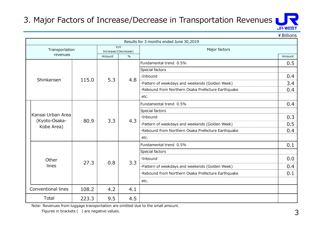#### 3. Major Factors of Increase/Decrease in Transportation Revenues



|                    |                                                          |                               |     | 3. Major Factors of Increase/Decrease in Transportation Revenues LUV |                              |
|--------------------|----------------------------------------------------------|-------------------------------|-----|----------------------------------------------------------------------|------------------------------|
|                    |                                                          |                               |     |                                                                      | <b>JR-WEST</b><br>¥ Billions |
|                    |                                                          |                               |     | Results for 3 months ended June 30,2019                              |                              |
| Transportation     |                                                          | YoY                           |     | Major factors                                                        |                              |
| revenues           |                                                          | Increase/(Decrease)<br>Amount | %   |                                                                      | Amount                       |
|                    |                                                          |                               |     | Fundamental trend 0.5%                                               | 0.5                          |
|                    | 115.0<br>Shinkansen                                      |                               |     | Special factors                                                      |                              |
|                    |                                                          |                               | 4.8 | ·Inbound                                                             | 0.4                          |
|                    |                                                          | 5.3                           |     | ·Pattern of weekdays and weekends (Golden Week)                      | 3.4                          |
|                    |                                                          |                               |     | ·Rebound from Northern Osaka Prefecture Earthquake                   | 0.4                          |
|                    |                                                          |                               |     | etc.                                                                 |                              |
|                    | Kansai Urban Area<br>80.9<br>(Kyoto-Osaka-<br>Kobe Area) |                               |     | Fundamental trend 0.5%                                               | 0.4                          |
|                    |                                                          |                               |     | Special factors                                                      |                              |
|                    |                                                          |                               |     | •Inbound                                                             | 0.3                          |
|                    |                                                          | 3.3                           | 4.3 | ·Pattern of weekdays and weekends (Golden Week)                      | 0.5                          |
|                    |                                                          |                               |     | ·Rebound from Northern Osaka Prefecture Earthquake                   | 0.4                          |
|                    |                                                          |                               |     | etc.                                                                 |                              |
|                    |                                                          |                               |     | Fundamental trend 0.5%                                               | 0.1                          |
|                    |                                                          |                               |     | Special factors                                                      |                              |
| Other              |                                                          |                               |     | ·Inbound                                                             | 0.0                          |
| lines              | 27.3                                                     | 0.8                           | 3.3 | ·Pattern of weekdays and weekends (Golden Week)                      | 0.4                          |
|                    |                                                          |                               |     | ·Rebound from Northern Osaka Prefecture Earthquake                   | 0.1                          |
|                    |                                                          |                               |     | etc.                                                                 |                              |
| Conventional lines | 108.2                                                    | 4.2                           | 4.1 |                                                                      |                              |
|                    | 223.3                                                    | 9.5                           | 4.5 |                                                                      |                              |
| Total              |                                                          |                               |     |                                                                      |                              |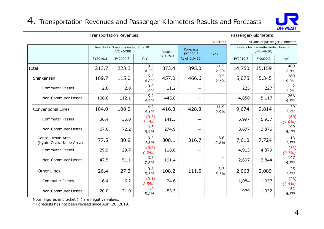## 4. Transportation Revenues and Passenger-Kilometers Results and Forecasts



|                                              |          | <b>Transportation Revenues</b>                          |                    |          | $\mathsf 4.$ Transportation Revenues and Passenger-Kilometers Results and Forecasts |                                               | Passenger-Kilometers |                                                         | <b>JR-WEST</b>         |
|----------------------------------------------|----------|---------------------------------------------------------|--------------------|----------|-------------------------------------------------------------------------------------|-----------------------------------------------|----------------------|---------------------------------------------------------|------------------------|
|                                              |          |                                                         |                    |          |                                                                                     | ¥ Billions                                    |                      | Millions of passenger-kilometers                        |                        |
|                                              |          | Results for 3 months ended June 30<br>$(4/1 \sim 6/30)$ |                    | Results  | <b>Forecasts</b><br>FY2020.3                                                        | YoY                                           |                      | Results for 3 months ended June 30<br>$(4/1 \sim 6/30)$ |                        |
|                                              | FY2019.3 | FY2020.3                                                | YoY                | FY2019.3 | As of July 30 <sup>*</sup>                                                          |                                               | FY2019.3             | FY2020.3                                                | YoY                    |
| Total                                        | 213.7    | 223.3                                                   | 9.5<br>4.5%        | 873.4    | 895.0                                                                               | 21.5<br>2.5%                                  | 14,750               | 15,159                                                  | 409<br>2.8%            |
| Shinkansen                                   | 109.7    | 115.0                                                   | 5.3<br>4.8%        | 457.0    | 466.6                                                                               | 9.5<br>2.1%                                   | 5,075                | 5,345                                                   | 269<br>5.3%            |
| <b>Commuter Passes</b>                       | 2.8      | 2.8                                                     | 0.0<br>1.9%        | 11.2     | $\overline{\phantom{m}}$                                                            | —<br>$\qquad \qquad \qquad$                   | 225                  | 227                                                     | $\overline{2}$<br>1.2% |
| Non-Commuter Passes                          | 106.8    | 112.1                                                   | 5.2<br>4.9%        | 445.8    | $\overline{\phantom{m}}$                                                            | $\overline{\phantom{a}}$<br>—                 | 4,850                | 5,117                                                   | 266<br>5.5%            |
| <b>Conventional Lines</b>                    | 104.0    | 108.2                                                   | 4.2<br>4.1%        | 416.3    | 428.3                                                                               | 11.9<br>2.9%                                  | 9,674                | 9,814                                                   | 139<br>1.4%            |
| <b>Commuter Passes</b>                       | 36.4     | 36.0                                                    | (0.3)<br>$(1.1\%)$ | 141.3    | $\overline{\phantom{m}}$                                                            | -<br>$\qquad \qquad -$                        | 5,997                | 5,937                                                   | (60)<br>$(1.0\%)$      |
| Non-Commuter Passes                          | 67.6     | 72.2                                                    | 4.6<br>6.9%        | 274.9    | $\qquad \qquad -$                                                                   | $\qquad \qquad -$<br>$\qquad \qquad -$        | 3,677                | 3,876                                                   | 199<br>5.4%            |
| Kansai Urban Area<br>(Kyoto-Osaka-Kobe Area) | 77.5     | 80.9                                                    | 3.3<br>4.3%        | 308.1    | 316.7                                                                               | 8.6<br>2.8%                                   | 7,610                | 7,724                                                   | 113<br>1.5%            |
| <b>Commuter Passes</b>                       | 29.9     | 29.7                                                    | (0.2)<br>(0.7%)    | 116.6    | $\overline{\phantom{m}}$                                                            | $\qquad \qquad -$<br>$\qquad \qquad \qquad$   | 4,913                | 4,879                                                   | (33)<br>(0.7%)         |
| Non-Commuter Passes                          | 47.5     | 51.1                                                    | 3.5<br>7.6%        | 191.4    | $\overline{\phantom{m}}$                                                            | -<br>$\qquad \qquad -$                        | 2,697                | 2,844                                                   | 147<br>5.5%            |
| Other Lines                                  | 26.4     | 27.3                                                    | 0.8<br>3.3%        | 108.2    | 111.5                                                                               | 3.3<br>3.1%                                   | 2,063                | 2,089                                                   | 25<br>1.3%             |
| <b>Commuter Passes</b>                       | 6.4      | $6.2$                                                   | (0.1)<br>(2.5%)    | 24.6     | $\overline{\phantom{m}}$                                                            | —<br>$\overline{\phantom{0}}$                 | 1,084                | 1,057                                                   | (26)<br>$(2.4\%)$      |
| Non-Commuter Passes                          | 20.0     | 21.0                                                    | 1.0<br>5.2%        | 83.5     | -                                                                                   | $\qquad \qquad -$<br>$\overline{\phantom{0}}$ | 979                  | 1,032                                                   | 52<br>5.3%             |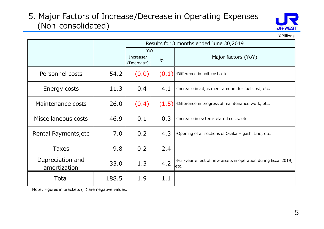#### 5. Major Factors of Increase/Decrease in Operating Expenses (Non-consolidated)



|                                  | (Non-consolidated) |                         |               | <b>JR-WES</b>                                                              |
|----------------------------------|--------------------|-------------------------|---------------|----------------------------------------------------------------------------|
|                                  |                    |                         |               | ¥ Billions                                                                 |
|                                  |                    | YoY                     |               | Results for 3 months ended June 30,2019                                    |
|                                  |                    | Increase/<br>(Decrease) | $\frac{0}{0}$ | Major factors (YoY)                                                        |
| Personnel costs                  | 54.2               | (0.0)                   | (0.1)         | ·Difference in unit cost, etc                                              |
| Energy costs                     | 11.3               | 0.4                     | 4.1           | · Increase in adjustment amount for fuel cost, etc.                        |
| Maintenance costs                | 26.0               | (0.4)                   | (1.5)         | ·Difference in progress of maintenance work, etc.                          |
| Miscellaneous costs              | 46.9               | 0.1                     | 0.3           | · Increase in system-related costs, etc.                                   |
| Rental Payments, etc             | 7.0                | 0.2                     | 4.3           | Opening of all sections of Osaka Higashi Line, etc.                        |
| <b>Taxes</b>                     | 9.8                | 0.2                     | 2.4           |                                                                            |
| Depreciation and<br>amortization | 33.0               | 1.3                     | 4.2           | · Full-year effect of new assets in operation during fiscal 2019,<br>letc. |
| Total                            | 188.5              | 1.9                     | 1.1           |                                                                            |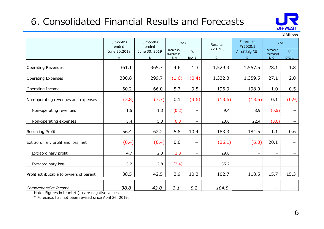# 6. Consolidated Financial Results and Forecasts



 $¥$  Billions ended<br>a 30. 2019 Increase/  $\begin{array}{|c|c|c|c|c|c|}\n\hline\n&\text{FY2019.3} & \text{FY2020.3} \\
\hline\n&\text{A}_2 & \text{B}_3 & \text{B}_4 & \text{B}_5 & \text{B}_6 \\
\hline\n&\text{B}_4 & \text{B}_5 & \text{B}_6 & \text{B}_7 & \text{B}_7 & \text{B}_8 \\
\hline\n&\text{B}_6 & \text{B}_7 & \text{B}_7 & \text{B}_8 & \text{B}_8 & \text{B}_9 & \text{B}_9\n\$  $(Decrease)$  %  $\begin{bmatrix} 96 \\ 100 \end{bmatrix}$  As of July 30  $\begin{bmatrix} \text{mecessary} \\ \text{(Decrease)} \end{bmatrix}$  % Increase/  $\frac{1}{\sqrt{2}}$ (Decrease) % A B-A B/A-1 C D D-C D/C-1 **6. Consolidated Financial Results and Forecasts**<br>  $\begin{array}{@{}c@{\hspace{1em}}c@{\hspace{1em}}c@{\hspace{1em}}c@{\hspace{1em}}c@{\hspace{1em}}c@{\hspace{1em}}c@{\hspace{1em}}c@{\hspace{1em}}c@{\hspace{1em}}c@{\hspace{1em}}c@{\hspace{1em}}c@{\hspace{1em}}c@{\hspace{1em}}c@{\hspace{1em}}c@{\hspace{1em}}c@{\hspace{1em}}c@{\hspace{1em}}c@{\hspace{1em}}$ **6. Consolidated Financial Results and Forecasts**<br>  $\frac{3 \text{ months}}{\text{sended}}$ <br>  $\frac{3 \text{ months}}{\text{sended}}$ <br>  $\frac{3 \text{ months}}{\text{sended}}$ <br>  $\frac{3 \text{ months}}{\text{sended}}$ <br>  $\frac{3 \text{ months}}{\text{sended}}$ <br>  $\frac{3 \text{ months}}{\text{downed}}$ <br>  $\frac{3 \text{ months}}{\text{downeded}}$ <br>  $\frac{3 \text{ months}}{\text{downededed}}$ <br>  $\frac{3 \text{ months}}{\text{downed$ **6. Consolidated Financial Results and Forecasts**<br>  $\frac{3 \text{ months}}{\text{ends of 3}}$ <br>  $\frac{3 \text{ months}}{\text{ments of 3}}$ <br>  $\frac{3 \text{ months}}{\text{ments of 3}}$ <br>  $\frac{3 \text{ months}}{\text{ments of 3}}$ <br>  $\frac{3 \text{ months}}{\text{ments of 3}}$ <br>  $\frac{3 \text{ months}}{\text{ments of 3}}$ <br>  $\frac{3 \text{ months}}{\text{is of 3}}$ <br>  $\frac{3 \text{ months}}{\text{is of 3}}$ <br>  $\$ **CONSECRETE:**<br>
Solid Branch Contracted Branch Contracted Branch Contracted Branch Contracted Branch Contracted Branch Contracted Branch Contracted Branch Contracted Branch Contracted Branch Contracted Branch Contracted Br 6. Consolidated Financial Results and Forecasts<br>  $\frac{3 \text{ moths}}{30.08}$ <br>
Non-30,2018<br>  $\frac{3 \text{ moths}}{30.08}$ <br>  $\frac{3 \text{ moths}}{30.08}$ <br>  $\frac{3 \text{ moths}}{30.08}$ <br>  $\frac{3 \text{ moths}}{40.08}$ <br>  $\frac{3 \text{ moths}}{40.08}$ <br>  $\frac{3 \text{ moths}}{40.08}$ <br>  $\frac{3 \text{ moths}}{$ **6. Consolidated Financial Results and Forecasts**<br> **EXECUTES**<br> **EXECUTES**<br> **EXECUTES**<br> **EXECUTES**<br> **EXECUTES**<br> **EXECUTES**<br> **EXECUTES**<br> **EXECUTES**<br> **EXECUTES**<br> **EXECUTES**<br> **EXECUTES**<br> **EXECUTES**<br> **EXECUTES**<br> **EXECUTES**<br> **E** 8 19 months 3 months voy<br>
ended ended ended ended ended ended ended ended ended ended ended ended ended ended ended ended ended exposure  $P(2013)$  and  $P(3013)$  and  $P(3013)$  and  $P(3013)$  and  $P(3013)$  and  $P(3013)$  and 1.5 3.6 (0.3) - 2.6 (0.4) 2.7 (0.4) 2.7 (0.4) 2.7 (0.4) 2.7 (0.4) 2.7 (0.4) 2.7 (0.4) 2.7 (0.4) 2.7 (0.4) 2.7 (0.4) 2.7 (0.4) 2.7 (2.6 (0.4) 2.7 (2.6 (0.4) 2.7 (2.6 (0.4) 2.7 (2.6 (0.4) 2.7 (2.6 (0.4) 2.7 (2.6 (0.4) 2.7 (2 2.1.1 2.20 2.24 (0.6)<br>
Extracting Process and expenses 300.8 299.7 (1.0) (0.4) 1.332.3 1.557.5 2.81 1.8<br>
Extracting From the process 300.8 299.7 (1.0) (0.4) 1.332.3 1.557.5 2.81 1.8<br>
Extracting From the process and expense erating Revenues<br>
erating Expenses<br>
erating Expenses<br>
SOO.8 299.7 (1.0) (0.4) 1,332.3 1,359.5 27.1 2.0<br>
erating Ircome<br>
enating Prome 6.0.2 66.0 5.7 9.5 196.9 198.0 1.0 0.5<br>
non-operating revenues and expenses<br>
1.5 1.3 (0.  $\begin{array}{|c|c|c|c|c|c|c|c|c|c|c|c|} \hline \text{0.8} & \text{299.7} & \text{(1.0)} & \text{(0.4)} & \text{1,332.3} & \text{1,359.5} & \text{27.1} & \text{2.0} \\ \hline \text{60.2} & \text{66.0} & \text{5.7} & \text{9.5} & \text{196.9} & \text{198.0} & \text{1.0} & \text{0.5} \\ \hline \text{(3.8)} & \text{(3.7)} & \text{0.1} & \text{(3.6)} & \text{($ Comprehensive Income 38.8 42.0 3.1 8.2 104.8 - - - Profit attributable to owners of parent Non-operating revenues and expenses  $(3.8)$  (3.7)  $\vert$ Extraordinary profit and loss, net  $\vert$  (0.4) 3 months  $\begin{vmatrix} 3 & m \end{vmatrix}$  3 months  $\begin{vmatrix} 4 & m \end{vmatrix}$   $\begin{vmatrix} 4 & m \end{vmatrix}$ ended ended <br>and a second contract the second contract of the second contract of the second contract of the second contract of the second contract of the second contract of the second contract of the second contract of the June 30,2018 | June 30, 2019 |  $\frac{1}{2}$  |  $\frac{1}{2}$  |  $\frac{1}{2}$  |  $\frac{1}{2}$  |  $\frac{1}{2}$  |  $\frac{1}{2}$  |  $\frac{1}{2}$  |  $\frac{1}{2}$  |  $\frac{1}{2}$  |  $\frac{1}{2}$  |  $\frac{1}{2}$  |  $\frac{1}{2}$  |  $\frac{1}{2}$  |  $\frac{1}{2}$  |  $\frac{1}{2}$  |  $\frac{1}{2}$  Results FY2020.3 3 months | YoY | <sub>Results</sub> | Forecasts | YoY | Forecasts | <sub>YoY</sub>  $\begin{array}{|c|c|c|c|c|}\n\hline\n\text{YoY} & \text{Results} & \text{Fv2020.3} \\
\hline\n\end{array}\n\quad\n\begin{array}{|c|c|c|c|}\n\hline\n\text{Fy2019.3} & \text{As of July 30}^{\ast} & \text{Increase/} & \text{WoY} \\
\hline\n\end{array}\n\quad\n\begin{array}{|c|c|c|c|}\n\hline\n\text{Increase/} & \text{WoY} & \text{NoY} \\
\hline\n\end{array}\n\quad\n\begin{array}{|c|c|c|c|c|c|c|c|c|$ 

Note: Figures in bracket ( ) are negative values.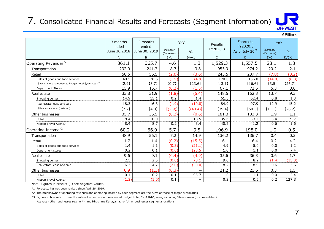## 7. Consolidated Financial Results and Forecasts (Segment Information)



¥Billions Increase/ 0%  $(Decrease)$  %  $112020.3$  As of July 30<sup>\*1</sup>  $(Decrease)$  %  $(Decrease)$ Increase/ 0% (Decrease) % and the second of the second of the second of the second of the second of the second of the second of the second of the second of the second of the second of the second of the second of the second of the secon A  $\vert$  B  $\vert$  B-A  $\vert$  B/A-1  $\vert$  C D D  $\vert$  D-C  $\vert$  D/C-1  $\vert$ 7. Consolidated Financial Results and Forecasts (Segment Information)<br>  $\frac{1}{\sqrt{17}}\sqrt{185}$ <br>  $\frac{1}{\sqrt{17}}\sqrt{185}$ <br>  $\frac{1}{\sqrt{17}}\sqrt{185}$ <br>  $\frac{1}{\sqrt{17}}\sqrt{185}$ <br>  $\frac{1}{\sqrt{17}}\sqrt{185}$ <br>  $\frac{1}{\sqrt{17}}\sqrt{185}$ <br>  $\frac{1}{\sqrt{17}}\sqrt{185$ 7. Consolidated Financial Results and Forecasts (Segment Information)<br>  $\begin{array}{|c|c|c|c|c|}\n \hline\n \text{Fibillons} & \text{3 months} & \text{3 months} & \text{3 months} & \text{3 months} & \text{3 months} & \text{500} & \text{600} & \text{600} & \text{600} & \text{600} & \text{600} & \text{600} & \text{600} & \text{600} & \text{600} & \text{$ 7. Consolidated Financial Results and Forecasts (Segment Information)<br>  $\frac{3 \text{ months}}{\text{cm} \cdot 80 \text{ cm}^2}$ <br>  $\frac{3 \text{ months}}{\text{cm} \cdot 30.2018}$ <br>  $\frac{3 \text{ months}}{\text{cm} \cdot 30.2018}$ <br>  $\frac{3 \text{ months}}{\text{cm} \cdot 30.2018}$ <br>  $\frac{3 \text{ months}}{\text{cm} \cdot 30.2018}$ <br>  $\frac$ Consolidated Financial Results and Forecasts (Segment Information)<br>  $\frac{3 \text{ months}}{3 \text{ months}}$ <br>  $\frac{3 \text{ months}}{3 \text{ months}}$ <br>  $\frac{3 \text{ months}}{3 \text{ months}}$ <br>  $\frac{3 \text{ months}}{3 \text{ hours}}$ <br>  $\frac{3 \text{ months}}{3 \text{ hours}}$ <br>  $\frac{3 \text{ months}}{3 \text{ hours}}$ <br>  $\frac{3 \text{ months}}{3 \text{ hours}}$ <br>  $\frac{3 \text{ months}}{3 \$ Consolidated Financial Results and Forecasts (Segment Information)<br>  $\frac{3 \text{ months}}{4 \text{ ends}}$ <br>  $\frac{3 \text{ months}}{2 \text{ months}}$ <br>  $\frac{3 \text{ months}}{2 \text{ months}}$ <br>  $\frac{3 \text{ months}}{2 \text{ hours}}$ <br>  $\frac{3 \text{ months}}{2 \text{ hours}}$ <br>  $\frac{3 \text{ months}}{2 \text{ hours}}$ <br>  $\frac{3 \text{ hours}}{2 \text{ hours}}$ <br>  $\frac{3 \text{ hours}}{2 \$ Department Stores 15.9 15.7 (0.2) (1.5) 67.1 72.5 5.3 8.0 **Proposed and Finder Control of the Control of the Control of the Control of the Control of the Control of the Control of the Control of the Control of the Control of the Control of the Control of the Control of the Contr** Consolidated Financial Results and Forecasts (Segment Information)<br>  $\frac{3\text{ months}}{3\text{ months}}$ <br>  $\frac{3\text{ months}}{3\text{ months}}$ <br>  $\frac{3\text{ months}}{3\text{ hours}}$ <br>  $\frac{3\text{ months}}{3\text{ hours}}$ <br>  $\frac{3\text{ months}}{3\text{ hours}}$ <br>  $\frac{3\text{ months}}{3\text{ hours}}$ <br>  $\frac{3\text{ hours}}{3\text{ hours}}$ <br>  $\frac{3\text{ hours}}{3\$ Consolidated Financial Results and Forecasts (Segment Information)<br>  $\frac{1}{3}$ <br>  $\frac{1}{3}$ <br>  $\frac{1}{3}$ <br>  $\frac{1}{3}$ <br>  $\frac{1}{3}$ <br>  $\frac{1}{3}$ <br>  $\frac{1}{3}$ <br>  $\frac{1}{3}$ <br>  $\frac{1}{3}$ <br>  $\frac{1}{3}$ <br>  $\frac{1}{3}$ <br>  $\frac{1}{3}$ <br>  $\frac{1}{3}$ <br>  $\frac{1}{3}$ <br> Consolidated Financial Results and Forecasts (Segment Information)<br>
annothe and the state sale of the state sale of the state sale of the state sale of the state sale of the state sale of the state sale of the state sale 7. Consolidated Financial Results and Forecasts (Segment Information)<br>  $\frac{1}{2}$ <br>  $\frac{1}{2}$ <br>  $\frac{1}{2}$ <br>  $\frac{1}{2}$ <br>  $\frac{1}{2}$ <br>  $\frac{1}{2}$ <br>  $\frac{1}{2}$ <br>  $\frac{1}{2}$ <br>  $\frac{1}{2}$ <br>  $\frac{1}{2}$ <br>  $\frac{1}{2}$ <br>  $\frac{1}{2}$ <br>  $\frac{1}{2}$ <br>  $\frac{1}{2$ Consolidated Financial Results and Forecasts (Segment Information)<br>  $\frac{3 \text{ months}}{\text{when odd}}$ <br>  $\frac{3 \text{ months}}{\text{when odd}}$ <br>  $\frac{3 \text{ months}}{\text{when odd}}$ <br>  $\frac{3 \text{ months}}{\text{when odd}}$ <br>  $\frac{3 \text{ months}}{\text{when odd}}$ <br>  $\frac{3 \text{ months}}{\text{when odd}}$ <br>  $\frac{3 \text{ months}}{\text{when odd}}$ <br>  $\frac{3 \text{ months}}{\text{when odd}}$ <br> CONSOLIdated Hinancial Results and Forecasts (Segment Information)<br>  $\frac{3 \text{ months}}{4 \text{ hours } 20,205}$ <br>  $\frac{3 \text{ months}}{4 \text{ hours } 20,205}$ <br>  $\frac{3 \text{ months}}{4 \text{ hours } 20,205}$ <br>  $\frac{3 \text{ months}}{4 \text{ hours } 20,205}$ <br>  $\frac{3 \text{ months}}{4 \text{ hours } 20,205}$ <br>  $\frac{3 \text{ months}}{4 \$ Operating Income\*2 60.2 66.0 5.7 9.5 196.9 198.0 1.0 0.5 Transportation 48.9 56.1 7.2 14.9 136.2 136.7 0.4 0.3 Retail 1.7 1.4 (0.2) (15.5) 6.1 6.4 0.2 4.2 Sales of excelses of goods and food services  $\frac{160}{20.22}$  and  $\frac{1}{20.2}$  and  $\frac{1}{20.2}$  and  $\frac{1}{20.2}$  and  $\frac{1}{20.2}$  and  $\frac{1}{20.2}$  and  $\frac{1}{20.2}$  and  $\frac{1}{20.2}$  and  $\frac{1}{20.2}$  and  $\frac{1}{20.2}$  and  $\frac$ Department stores 0.2 0.1 (0.0) (28.5) 1.0 1.1 0.0 7.4 eraing Revenues<sup>2</sup><br>  $\frac{1}{2}$ <br>
Enterspectration<br>
Transportation<br>
Franceportation<br>
Search content local estate<br>
Search content local estate<br>
Search content local estate<br>
Search content local estate<br>
Search content local es Shopping center 2.5 2.5 (0.0) (0.1) 9.6 8.2 (1.4) (15.0) Real estate lease and sale 6.7 4.7 (2.0) (30.0) 18.2 18.9 0.6 3.6 Transportation<br>
Technique and the other businesses (1.3)  $\frac{1}{2}$ <br>
Section and the form business (1.3)  $\frac{1}{2}$ <br>
Section and the computer business (1.4)  $\frac{1}{2}$ <br>
Section and the computer business (1.4)  $\frac{1}{2}$ <br>
Sect  $\frac{58.5}{\text{Delectric}} \xrightarrow{\text{Covari} \xrightarrow{\text{Covari} \xrightarrow{\text{Covari} \xrightarrow{\text{Covari} \xrightarrow{\text{Covari} \xrightarrow{\text{Covari} \xrightarrow{\text{Covari} \xrightarrow{\text{Covari} \xrightarrow{\text{Covari} \xrightarrow{\text{Covari} \xrightarrow{\text{Covari} \xrightarrow{\text{Covari} \xrightarrow{\text{Covari} \xrightarrow{\text{Covari} \xrightarrow{\text{Covari} \xrightarrow{\text{Covari} \xrightarrow{\text{Covari} \xrightarrow{\text{Covari} \xrightarrow{\text{Covari} \xrightarrow{\text{Covari} \xrightarrow{\text{$ Nippon Travel Agency (1.2) (1.0) 0.1 - 0.2 0.5 0.2 127.8 3 months YoY ended<br>
FY2020.3 June 30,2018 | June 30, 2019 |  $\frac{1000 \text{ kg}}{1000 \text{ kg}}$  |  $\frac{9}{90}$  |  $\frac{1000 \text{ kg}}{100 \text{ kg}}$  |  $\frac{1}{90}$ Forecasts **No. 1998** FY2020.3  $3$  months  $\begin{vmatrix} 3 & m \end{vmatrix}$  a months  $\begin{vmatrix} 3 & m \end{vmatrix}$   $\begin{vmatrix} 3 & m \end{vmatrix}$ ended anded  $YoY$  Results  $\begin{array}{|c|c|c|c|c|c|c|c|}\n\hline\n\text{Results} & \text{revo} & \text{revo} & \text{revo} & \text{revo} & \text{revo} & \text{revo} & \text{revo} & \text{revo} & \text{revo} & \text{revo} & \text{revo} & \text{revo} & \text{revo} & \text{revo} & \text{revo} & \text{revo} & \text{revo} & \text{revo} & \text{revo} & \text{revo} & \text{revo} & \text{revo} & \text{revo} & \text{revo} & \text{rev$ 

Note: Figures in bracket () are negative values.

\*1 Forecasts has not been revised since April 26, 2019.

\*2 The breakdowns of operating revenues and operating income by each segment are the sums of those of major subsidiaries.

\*3 Figures in brackets 【 】 are the sales of accommodation-oriented budget hotel, "VIA INN", sales, excluding Shimonoseki (unconsolidated),

Asakusa (other businesses segment), and Hiroshima Kanayamacho (other businesses segment) locations.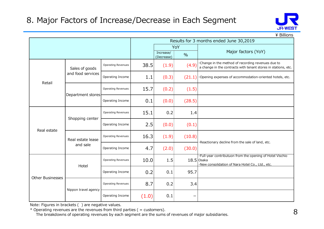

|                         |                      |                           |       |                         |                   | 3. Major Factors of Increase/Decrease in Each Segment<br><b>JR-WEST</b>                                               |
|-------------------------|----------------------|---------------------------|-------|-------------------------|-------------------|-----------------------------------------------------------------------------------------------------------------------|
|                         |                      |                           |       |                         |                   | ¥ Billions                                                                                                            |
|                         |                      |                           |       |                         |                   | Results for 3 months ended June 30,2019                                                                               |
|                         |                      |                           |       | Increase/<br>(Decrease) | YoY<br>$\%$       | Major factors (YoY)                                                                                                   |
|                         | Sales of goods       | <b>Operating Revenues</b> | 38.5  | (1.9)                   | (4.9)             | . Change in the method of recording revenues due to<br>a change in the contracts with tenant stores in stations, etc. |
| Retail                  | and food services    | Operating Income          | 1.1   | (0.3)                   |                   | $(21.1)$ . Opening expenses of accommodation-oriented hotels, etc.                                                    |
|                         | Department stores    | <b>Operating Revenues</b> | 15.7  | (0.2)                   | (1.5)             |                                                                                                                       |
|                         |                      | Operating Income          | 0.1   | (0.0)                   | (28.5)            |                                                                                                                       |
|                         | Shopping center      | <b>Operating Revenues</b> | 15.1  | 0.2                     | 1.4               |                                                                                                                       |
| Real estate             |                      | Operating Income          | 2.5   | (0.0)                   | (0.1)             |                                                                                                                       |
|                         | Real estate lease    | <b>Operating Revenues</b> | 16.3  | (1.9)                   | (10.8)            | ·Reactionary decline from the sale of land, etc.                                                                      |
|                         | and sale             | Operating Income          | 4.7   | (2.0)                   | (30.0)            | .Full-year contributuon from the opening of Hotel Vischio                                                             |
|                         | Hotel                | <b>Operating Revenues</b> | 10.0  | 1.5                     |                   | $18.5$ Osaka<br>·New consolidation of Nara Hotel Co., Ltd., etc.                                                      |
| <b>Other Businesses</b> |                      | Operating Income          | 0.2   | 0.1                     | 95.7              |                                                                                                                       |
|                         | Nippon travel agency | <b>Operating Revenues</b> | 8.7   | 0.2                     | 3.4               |                                                                                                                       |
|                         |                      | Operating Income          | (1.0) | 0.1                     | $\qquad \qquad -$ |                                                                                                                       |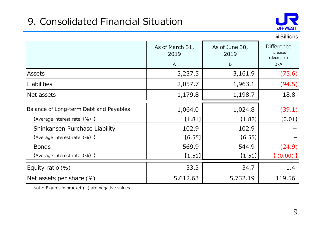## 9. Consolidated Financial Situation



| 9. Consolidated Financial Situation    |                                         |                             | <b>JR-WEST</b>                                        |
|----------------------------------------|-----------------------------------------|-----------------------------|-------------------------------------------------------|
|                                        |                                         |                             | ¥ Billions                                            |
|                                        | As of March 31,<br>2019<br>$\mathsf{A}$ | As of June 30,<br>2019<br>B | <b>Difference</b><br>increase/<br>(decrease)<br>$B-A$ |
| Assets                                 | 3,237.5                                 | 3,161.9                     | (75.6)                                                |
| <b>Liabilities</b>                     | 2,057.7                                 | 1,963.1                     | (94.5)                                                |
| Net assets                             | 1,179.8                                 | 1,198.7                     | 18.8                                                  |
| Balance of Long-term Debt and Payables | 1,064.0                                 | 1,024.8                     | (39.1)                                                |
| [Average interest rate (%) ]           | [1.81]                                  | [1.82]                      | [0.01]                                                |
| Shinkansen Purchase Liability          | 102.9                                   | 102.9                       |                                                       |
| [Average interest rate (%) ]           | [6.55]                                  | [6.55]                      |                                                       |
| <b>Bonds</b>                           | 569.9                                   | 544.9                       | (24.9)                                                |
| [Average interest rate (%) ]           | [1.51]                                  | [1.51]                      | [ (0.00) ]                                            |
| Equity ratio (%)                       | 33.3                                    | 34.7                        | 1.4                                                   |
| Net assets per share $(*)$             | 5,612.63                                | 5,732.19                    | 119.56                                                |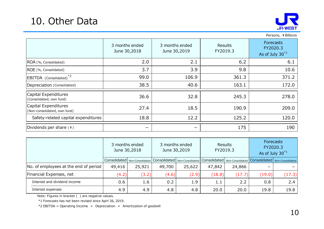

| 10. Other Data                                                        |                                                                                                                                       |                          |                                |        |                     |                     |                                               | <b>JR-WEST</b>                                                              |  |  |
|-----------------------------------------------------------------------|---------------------------------------------------------------------------------------------------------------------------------------|--------------------------|--------------------------------|--------|---------------------|---------------------|-----------------------------------------------|-----------------------------------------------------------------------------|--|--|
|                                                                       | 3 months ended<br>June 30,2018                                                                                                        |                          | 3 months ended<br>June 30,2019 |        |                     | Results<br>FY2019.3 |                                               | Persons, ¥ Billions<br>Forecasts<br>FY2020.3<br>As of July 30 <sup>*1</sup> |  |  |
| ROA (%, Consolidated)                                                 |                                                                                                                                       | 2.0                      |                                | 2.1    |                     | 6.2                 |                                               | 6.1                                                                         |  |  |
| ROE (%, Consolidated)                                                 |                                                                                                                                       | 3.7                      |                                | 3.9    |                     | 9.8                 |                                               | 10.6                                                                        |  |  |
| EBITDA (Consolidated) <sup>*2</sup>                                   |                                                                                                                                       | 99.0                     |                                | 106.9  |                     | 361.3               |                                               | 371.2                                                                       |  |  |
| Depreciation (Consolidated)                                           |                                                                                                                                       | 38.5                     |                                | 40.6   |                     | 163.1               |                                               | 172.0                                                                       |  |  |
| Capital Expenditures<br>(Consolidated, own fund)                      |                                                                                                                                       | 36.6                     | 32.8                           |        |                     | 245.3               |                                               | 278.0                                                                       |  |  |
| Capital Expenditures<br>(Non-consolidated, own fund)                  |                                                                                                                                       | 27.4                     | 18.5                           |        |                     | 190.9               |                                               | 209.0                                                                       |  |  |
| Safety-related capital expenditures                                   |                                                                                                                                       | 18.8                     |                                | 12.2   |                     | 125.2               | 120.0                                         |                                                                             |  |  |
| Dividends per share $(*)$                                             |                                                                                                                                       | $\overline{\phantom{m}}$ |                                |        |                     | 175                 | 190                                           |                                                                             |  |  |
|                                                                       | 3 months ended<br>3 months ended<br>June 30,2018<br>June 30,2019                                                                      |                          |                                |        | Results<br>FY2019.3 |                     | Forecasts<br>FY2020.3<br>As of July $30^{*1}$ |                                                                             |  |  |
|                                                                       | Consolidated   Non-Consolidated   Consolidated   Non-Consolidated   Consolidated   Non-Consolidated   Consolidated   Non-Consolidated |                          |                                |        |                     |                     |                                               |                                                                             |  |  |
| No. of employees at the end of period                                 | 49,416                                                                                                                                | 25,921                   | 49,700                         | 25,622 | 47,842              | 24,866              | $\overline{\phantom{m}}$                      |                                                                             |  |  |
| Financial Expenses, net                                               | (4.2)                                                                                                                                 | (3.2)                    | (4.6)                          | (2.9)  | (18.8)              | (17.7)              | (19.0)                                        | (17.3)                                                                      |  |  |
| Interest and dividend income                                          | 0.6                                                                                                                                   | 1.6                      | 0.2                            | 1.9    | 1.1                 | 2.2                 | 0.8                                           | 2.4                                                                         |  |  |
| Interest expenses<br>Note: Figures in bracket () are negative values. | 4.9                                                                                                                                   | 4.9                      | 4.8                            | 4.8    | 20.0                | 20.0                | 19.8                                          | 19.8                                                                        |  |  |

| $L_{\nu}$ , $L_{\nu}$ , (consolidated)                                                                                                                                                |                                |        |        |                                |          |         |                                                                                                                                                                                               | - - - - -                |  |
|---------------------------------------------------------------------------------------------------------------------------------------------------------------------------------------|--------------------------------|--------|--------|--------------------------------|----------|---------|-----------------------------------------------------------------------------------------------------------------------------------------------------------------------------------------------|--------------------------|--|
| Depreciation (Consolidated)                                                                                                                                                           |                                | 38.5   |        | 40.6                           |          | 163.1   |                                                                                                                                                                                               | 172.0                    |  |
| Capital Expenditures<br>(Consolidated, own fund)                                                                                                                                      |                                | 36.6   | 32.8   |                                |          | 245.3   |                                                                                                                                                                                               | 278.0                    |  |
| Capital Expenditures<br>(Non-consolidated, own fund)                                                                                                                                  |                                | 27.4   | 18.5   |                                | 190.9    |         | 209.0                                                                                                                                                                                         |                          |  |
| Safety-related capital expenditures                                                                                                                                                   | 18.8                           |        | 12.2   |                                | 125.2    |         | 120.0                                                                                                                                                                                         |                          |  |
| Dividends per share $(*)$                                                                                                                                                             | $\qquad \qquad$                |        |        | $\overline{\phantom{m}}$       |          | 175     | 190                                                                                                                                                                                           |                          |  |
|                                                                                                                                                                                       | 3 months ended<br>June 30,2018 |        |        | 3 months ended<br>June 30,2019 | FY2019.3 | Results | Forecasts<br>FY2020.3<br>As of July 30 <sup>*1</sup><br>Consolidated   Non-Consolidated   Consolidated   Non-Consolidated   Consolidated   Non-Consolidated   Consolidated   Non-Consolidated |                          |  |
| No. of employees at the end of period                                                                                                                                                 | 49,416                         | 25,921 | 49,700 | 25,622                         | 47,842   | 24,866  |                                                                                                                                                                                               | $\overline{\phantom{0}}$ |  |
| Financial Expenses, net                                                                                                                                                               | (4.2)                          | (3.2)  | (4.6)  | (2.9)                          | (18.8)   | (17.7)  | (19.0)                                                                                                                                                                                        | (17.3)                   |  |
| Interest and dividend income                                                                                                                                                          | 0.6                            | 1.6    | 0.2    | 1.9                            | 1.1      | 2.2     | 0.8                                                                                                                                                                                           | 2.4                      |  |
| Interest expenses                                                                                                                                                                     | 4.9                            | 4.9    | 4.8    | 4.8                            | 20.0     | 20.0    | 19.8                                                                                                                                                                                          | 19.8                     |  |
| Note: Figures in bracket () are negative values.<br>*1 Forecasts has not been revised since Apirl 26, 2019.<br>*2 EBITDA = Operating Income + Depreciation + Amortization of goodwill |                                |        |        |                                |          |         |                                                                                                                                                                                               | $\bigcap$                |  |